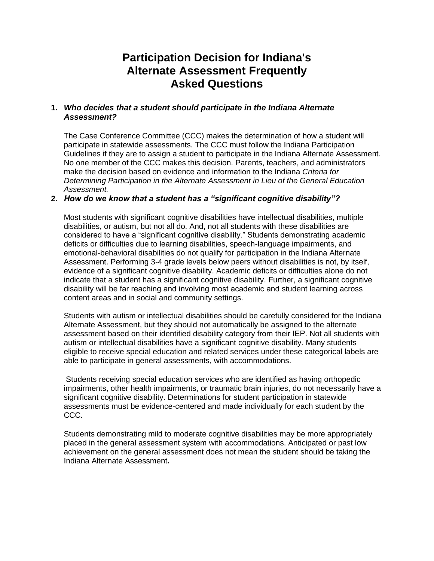# **Participation Decision for Indiana's Alternate Assessment Frequently Asked Questions**

# **1.** *Who decides that a student should participate in the Indiana Alternate Assessment?*

The Case Conference Committee (CCC) makes the determination of how a student will participate in statewide assessments. The CCC must follow the Indiana Participation Guidelines if they are to assign a student to participate in the Indiana Alternate Assessment. No one member of the CCC makes this decision. Parents, teachers, and administrators make the decision based on evidence and information to the Indiana *Criteria for Determining Participation in the Alternate Assessment in Lieu of the General Education Assessment.* 

#### **2.** *How do we know that a student has a "significant cognitive disability"?*

Most students with significant cognitive disabilities have intellectual disabilities, multiple disabilities, or autism, but not all do. And, not all students with these disabilities are considered to have a "significant cognitive disability." Students demonstrating academic deficits or difficulties due to learning disabilities, speech-language impairments, and emotional-behavioral disabilities do not qualify for participation in the Indiana Alternate Assessment. Performing 3-4 grade levels below peers without disabilities is not, by itself, evidence of a significant cognitive disability. Academic deficits or difficulties alone do not indicate that a student has a significant cognitive disability. Further, a significant cognitive disability will be far reaching and involving most academic and student learning across content areas and in social and community settings.

Students with autism or intellectual disabilities should be carefully considered for the Indiana Alternate Assessment, but they should not automatically be assigned to the alternate assessment based on their identified disability category from their IEP. Not all students with autism or intellectual disabilities have a significant cognitive disability. Many students eligible to receive special education and related services under these categorical labels are able to participate in general assessments, with accommodations.

Students receiving special education services who are identified as having orthopedic impairments, other health impairments, or traumatic brain injuries, do not necessarily have a significant cognitive disability. Determinations for student participation in statewide assessments must be evidence-centered and made individually for each student by the CCC.

Students demonstrating mild to moderate cognitive disabilities may be more appropriately placed in the general assessment system with accommodations. Anticipated or past low achievement on the general assessment does not mean the student should be taking the Indiana Alternate Assessment**.**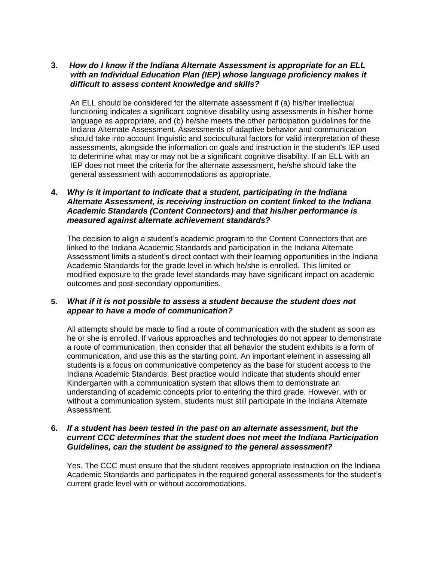## **3.** *How do I know if the Indiana Alternate Assessment is appropriate for an ELL with an Individual Education Plan (IEP) whose language proficiency makes it difficult to assess content knowledge and skills?*

An ELL should be considered for the alternate assessment if (a) his/her intellectual functioning indicates a significant cognitive disability using assessments in his/her home language as appropriate, and (b) he/she meets the other participation guidelines for the Indiana Alternate Assessment. Assessments of adaptive behavior and communication should take into account linguistic and sociocultural factors for valid interpretation of these assessments, alongside the information on goals and instruction in the student's IEP used to determine what may or may not be a significant cognitive disability. If an ELL with an IEP does not meet the criteria for the alternate assessment, he/she should take the general assessment with accommodations as appropriate.

## **4.** *Why is it important to indicate that a student, participating in the Indiana Alternate Assessment, is receiving instruction on content linked to the Indiana Academic Standards (Content Connectors) and that his/her performance is measured against alternate achievement standards?*

The decision to align a student's academic program to the Content Connectors that are linked to the Indiana Academic Standards and participation in the Indiana Alternate Assessment limits a student's direct contact with their learning opportunities in the Indiana Academic Standards for the grade level in which he/she is enrolled. This limited or modified exposure to the grade level standards may have significant impact on academic outcomes and post-secondary opportunities.

## **5.** *What if it is not possible to assess a student because the student does not appear to have a mode of communication?*

All attempts should be made to find a route of communication with the student as soon as he or she is enrolled. If various approaches and technologies do not appear to demonstrate a route of communication, then consider that all behavior the student exhibits is a form of communication, and use this as the starting point. An important element in assessing all students is a focus on communicative competency as the base for student access to the Indiana Academic Standards. Best practice would indicate that students should enter Kindergarten with a communication system that allows them to demonstrate an understanding of academic concepts prior to entering the third grade. However, with or without a communication system, students must still participate in the Indiana Alternate Assessment.

#### **6.** *If a student has been tested in the past on an alternate assessment, but the current CCC determines that the student does not meet the Indiana Participation Guidelines, can the student be assigned to the general assessment?*

Yes. The CCC must ensure that the student receives appropriate instruction on the Indiana Academic Standards and participates in the required general assessments for the student's current grade level with or without accommodations.